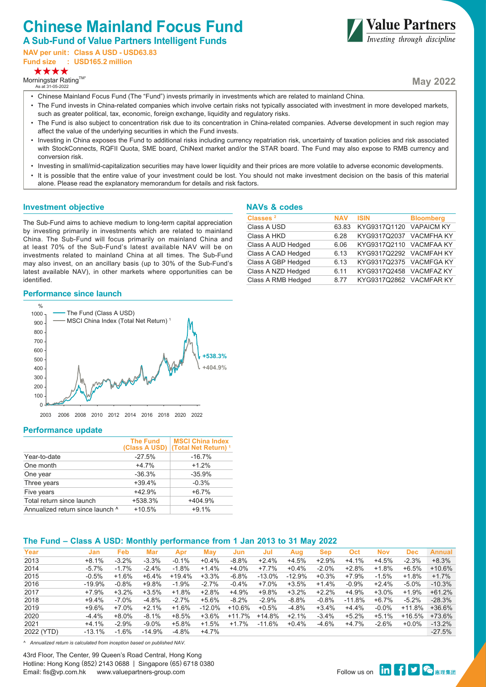# **Chinese Mainland Focus Fund**

**A Sub-Fund of Value Partners Intelligent Funds** 

**NAV per unit: Class A USD - USD63.83 Fund size : USD165.2 million**



Morningstar Rating™

As at 31-05-2022



**May 2022**

- Chinese Mainland Focus Fund (The "Fund") invests primarily in investments which are related to mainland China.
- The Fund invests in China-related companies which involve certain risks not typically associated with investment in more developed markets. such as greater political, tax, economic, foreign exchange, liquidity and regulatory risks.
- The Fund is also subject to concentration risk due to its concentration in China-related companies. Adverse development in such region may affect the value of the underlying securities in which the Fund invests.
- Investing in China exposes the Fund to additional risks including currency repatriation risk, uncertainty of taxation policies and risk associated with StockConnects, RQFII Quota, SME board, ChiNext market and/or the STAR board. The Fund may also expose to RMB currency and conversion risk.
- Investing in small/mid-capitalization securities may have lower liquidity and their prices are more volatile to adverse economic developments.
- It is possible that the entire value of your investment could be lost. You should not make investment decision on the basis of this material alone. Please read the explanatory memorandum for details and risk factors.

#### **Investment objective**

The Sub-Fund aims to achieve medium to long-term capital appreciation by investing primarily in investments which are related to mainland China. The Sub-Fund will focus primarily on mainland China and at least 70% of the Sub-Fund's latest available NAV will be on investments related to mainland China at all times. The Sub-Fund may also invest, on an ancillary basis (up to 30% of the Sub-Fund's latest available NAV), in other markets where opportunities can be identified.

## **NAVs & codes**

| Classes <sup>2</sup> | <b>NAV</b> | <b>ISIN</b>             | <b>Bloomberg</b> |
|----------------------|------------|-------------------------|------------------|
| Class A USD          | 63.83      | KYG9317Q1120 VAPAICM KY |                  |
| Class A HKD          | 6.28       | KYG9317Q2037 VACMFHA KY |                  |
| Class A AUD Hedged   | 6.06       | KYG9317Q2110 VACMFAA KY |                  |
| Class A CAD Hedged   | 6.13       | KYG9317Q2292 VACMFAH KY |                  |
| Class A GBP Hedged   | 6.13       | KYG9317Q2375 VACMFGA KY |                  |
| Class A NZD Hedged   | 6.11       | KYG9317Q2458 VACMFAZ KY |                  |
| Class A RMB Hedged   | 8.77       | KYG9317Q2862 VACMFAR KY |                  |
|                      |            |                         |                  |

## **Performance since launch**



#### **Performance update**

|                                  | <b>The Fund</b> | <b>MSCI China Index</b><br>(Class A USD)   (Total Net Return) <sup>1</sup> |
|----------------------------------|-----------------|----------------------------------------------------------------------------|
| Year-to-date                     | $-27.5%$        | $-16.7%$                                                                   |
| One month                        | $+47%$          | $+1.2%$                                                                    |
| One year                         | $-36.3%$        | $-35.9%$                                                                   |
| Three years                      | $+39.4%$        | $-0.3%$                                                                    |
| Five years                       | $+42.9%$        | $+6.7%$                                                                    |
| Total return since launch        | +538.3%         | +404.9%                                                                    |
| Annualized return since launch ^ | $+10.5%$        | $+9.1%$                                                                    |

## **The Fund – Class A USD: Monthly performance from 1 Jan 2013 to 31 May 2022**

| Year<br>Jan            |                     |     |          |           |          |          |          |            |          |            |            |          |
|------------------------|---------------------|-----|----------|-----------|----------|----------|----------|------------|----------|------------|------------|----------|
|                        | Feb                 | Mar | Apr      | May       | Jun      | Jul      | Aug      | <b>Sep</b> | Oct      | <b>Nov</b> | <b>Dec</b> | Annual   |
| 2013<br>$+8.1%$        | $-3.2%$<br>$-3.3%$  |     | $-0.1%$  | $+0.4%$   | $-8.8%$  | $+2.4%$  | $+4.5%$  | $+2.9%$    | $+4.1%$  | $+4.5%$    | $-2.3%$    | $+8.3%$  |
| $-5.7\%$<br>2014       | $-1.7%$<br>$-2.4%$  |     | $-1.8%$  | $+1.4%$   | $+4.0%$  | +7.7%    | $+0.4%$  | $-2.0%$    | $+2.8%$  | $+1.8%$    | $+6.5%$    | $+10.6%$ |
| 2015<br>$-0.5%$        | $+1.6%$<br>$+6.4%$  |     | $+19.4%$ | $+3.3%$   | $-6.8%$  | $-13.0%$ | $-12.9%$ | $+0.3%$    | +7.9%    | $-1.5%$    | $+1.8%$    | $+1.7%$  |
| 2016<br>$-19.9\%$      | $-0.8%$<br>+9.8%    |     | $-1.9%$  | $-2.7%$   | $-0.4%$  | $+7.0\%$ | $+3.5%$  | $+1.4%$    | $-0.9%$  | $+2.4%$    | $-5.0%$    | $-10.3%$ |
| 2017<br>+7.9%          | $+3.2%$<br>$+3.5%$  |     | $+1.8%$  | $+2.8%$   | $+4.9%$  | $+9.8%$  | $+3.2%$  | $+2.2%$    | $+4.9%$  | $+3.0\%$   | $+1.9%$    | $+61.2%$ |
| 2018<br>$+9.4%$        | $-7.0\%$<br>$-4.8%$ |     | $-2.7%$  | $+5.6%$   | $-8.2%$  | $-2.9%$  | $-8.8%$  | $-0.8%$    | $-11.8%$ | $+6.7\%$   | $-5.2%$    | $-28.3%$ |
| 2019<br>$+9.6%$        | $+2.1%$<br>$+7.0%$  |     | $+1.6%$  | $-12.0\%$ | +10.6%   | $+0.5%$  | $-4.8%$  | $+3.4%$    | $+4.4%$  | $-0.0\%$   | $+11.8%$   | $+36.6%$ |
| 2020<br>$-4.4%$        | $-8.1%$<br>$+8.0%$  |     | $+8.5%$  | $+3.6%$   | $+11.7%$ | $+14.8%$ | $+2.1%$  | $-3.4%$    | $+5.2%$  | $+5.1%$    | $+16.5%$   | $+73.6%$ |
| 2021<br>$+4.1%$        | $-2.9%$<br>$-9.0\%$ |     | $+5.8%$  | $+1.5%$   | $+1.7%$  | $-11.6%$ | $+0.4%$  | $-4.6%$    | $+4.7%$  | $-2.6%$    | $+0.0%$    | $-13.2%$ |
| 2022 (YTD)<br>$-13.1%$ | $-1.6%$<br>$-14.9%$ |     | $-4.8%$  | $+4.7%$   |          |          |          |            |          |            |            | $-27.5%$ |

*^ Annualized return is calculated from inception based on published NAV.*

43rd Floor, The Center, 99 Queen's Road Central, Hong Kong Hotline: Hong Kong (852) 2143 0688 | Singapore (65) 6718 0380 Email: fis@vp.com.hk www.valuepartners-group.com